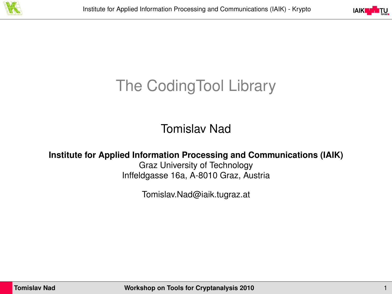



# The CodingTool Library

Tomislav Nad

**Institute for Applied Information Processing and Communications (IAIK)**

Graz University of Technology Inffeldgasse 16a, A-8010 Graz, Austria

Tomislav.Nad@iaik.tugraz.at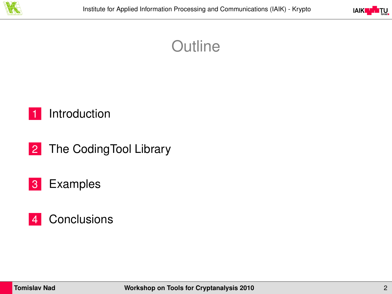



#### **Outline**

#### 1 [Introduction](#page-2-0)

2 [The CodingTool Library](#page-9-0)

#### 3 [Examples](#page-15-0)

#### 4 [Conclusions](#page-20-0)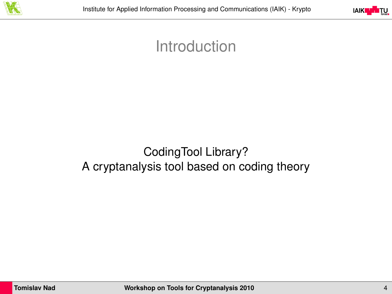

<span id="page-2-0"></span>

## Introduction

#### CodingTool Library? A cryptanalysis tool based on coding theory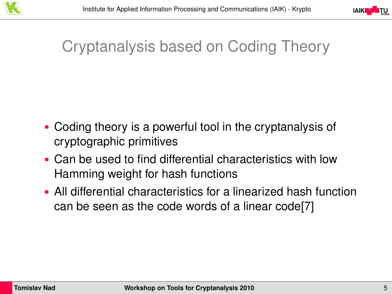



# Cryptanalysis based on Coding Theory

- Coding theory is a powerful tool in the cryptanalysis of cryptographic primitives
- Can be used to find differential characteristics with low Hamming weight for hash functions
- All differential characteristics for a linearized hash function can be seen as the code words of a linear code[\[7\]](#page-23-0)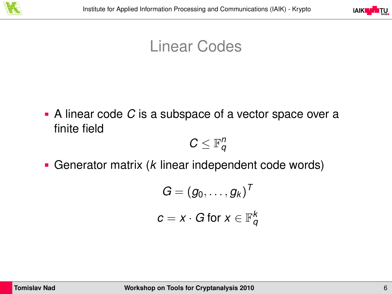



## Linear Codes

A linear code *C* is a subspace of a vector space over a finite field

 $C \leq \mathbb{F}_q^n$ 

Generator matrix (*k* linear independent code words)

$$
G = (g_0, \ldots, g_k)^T
$$
  

$$
c = x \cdot G \text{ for } x \in \mathbb{F}_q^k
$$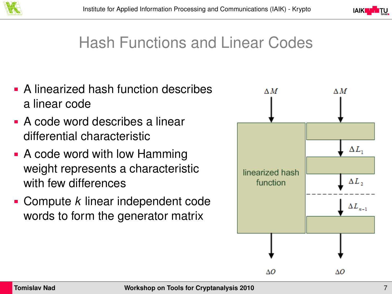



## Hash Functions and Linear Codes

- **A linearized hash function describes** a linear code
- A code word describes a linear differential characteristic
- A code word with low Hamming weight represents a characteristic with few differences
- Compute *k* linear independent code words to form the generator matrix

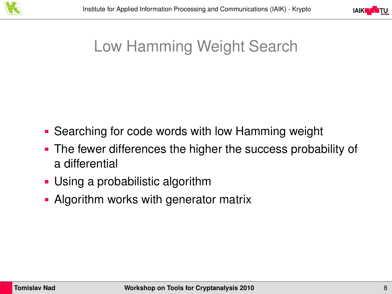



# Low Hamming Weight Search

- Searching for code words with low Hamming weight
- The fewer differences the higher the success probability of a differential
- Using a probabilistic algorithm
- Algorithm works with generator matrix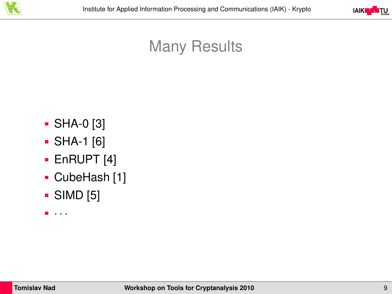



## Many Results

- SHA-0 [\[3\]](#page-22-0)
- SHA-1 [\[6\]](#page-23-1)
- **EnRUPT [\[4\]](#page-22-1)**
- CubeHash [\[1\]](#page-22-2)
- SIMD [\[5\]](#page-23-2)
- $\blacksquare$ ...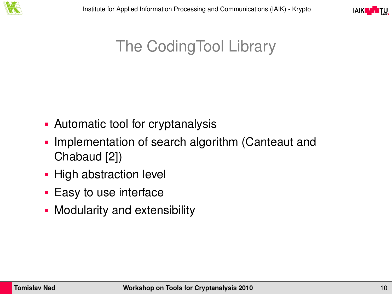



# The CodingTool Library

- Automatic tool for cryptanalysis
- Implementation of search algorithm (Canteaut and Chabaud [\[2\]](#page-22-3))
- High abstraction level
- **Easy to use interface**
- **Modularity and extensibility**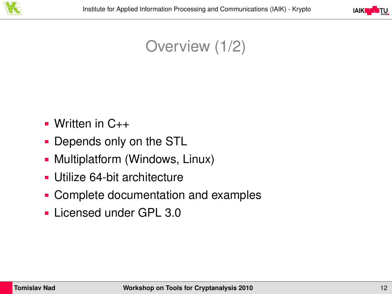

<span id="page-9-0"></span>

#### Overview (1/2)

- $\blacksquare$  Written in  $C_{++}$
- Depends only on the STL
- Multiplatform (Windows, Linux)
- Utilize 64-bit architecture
- Complete documentation and examples
- **Licensed under GPL 3.0**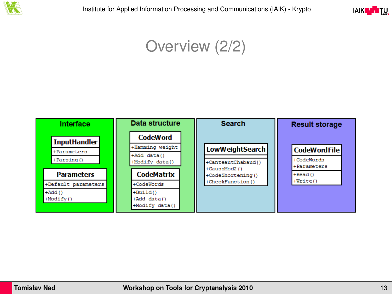



#### Overview (2/2)

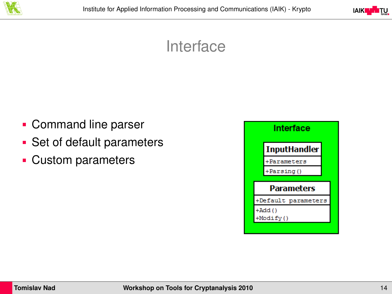



#### Interface

- **Command line parser**
- Set of default parameters
- Custom parameters

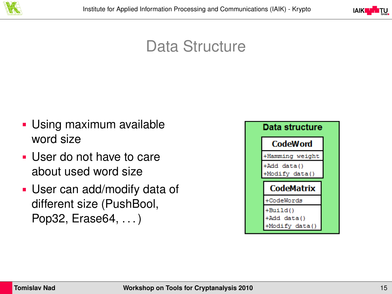



## Data Structure

- Using maximum available word size
- User do not have to care about used word size
- User can add/modify data of different size (PushBool, Pop32, Erase64, . . . )

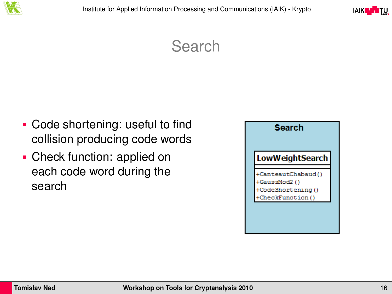



### Search

- **Code shortening: useful to find** collision producing code words
- Check function: applied on each code word during the search

| Search                                                                    |  |
|---------------------------------------------------------------------------|--|
| <b>LowWeightSearch</b>                                                    |  |
| CanteautChabaud()<br>+GaussMod2()<br>+CodeShortening()<br>CheckFunction() |  |
|                                                                           |  |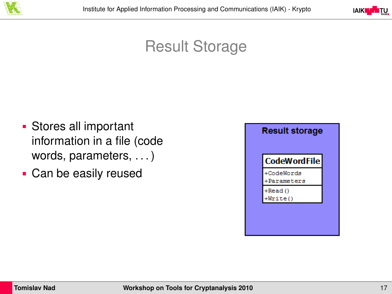



#### Result Storage

- Stores all important information in a file (code words, parameters, . . . )
- Can be easily reused

| <b>CodeWordFile</b>       |  |
|---------------------------|--|
| +CodeWords<br>+Parameters |  |
| +Read()<br>Write()        |  |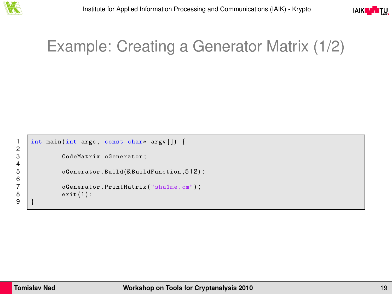

<span id="page-15-0"></span>

# Example: Creating a Generator Matrix (1/2)

```
1 int main ( int argc , const char∗ argv [ ] ) {
            CodeMatrix oGenerator:
            oGenerator. Build(&BuildFunction, 512);
            oGenerator. PrintMatrix ("sha1me.cm");
            exit(1):
9 }
```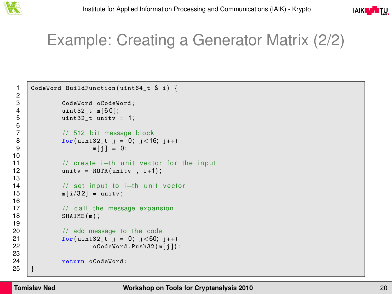



## Example: Creating a Generator Matrix (2/2)

```
1 CodeWord BuildFunction (uint64 t & i) {
 \frac{2}{3}3 CodeWord oCodeWord;<br>4 uint32 t m[60]:
 \begin{array}{c|c} 4 & \text{uint32_t m[60];} \\ 5 & \text{uint32_t unit} \end{array}uint32 t unity = 1:
 6
 7 // 512 bit message block<br>8 for(uint32_t j = 0; j<16
 8 for (uint 32 t j = 0; j < 16; j + +)<br>9 m[i] = 0;
                                m[i] = 0;10<br>1111 // create i–th unit vector for the input<br>12 unity = ROTR (unity, i+1);
                   unitv = ROTR (unitv, i+1);
13<br>1414 / set input to i–th unit vector<br>15 mli/321 – unity:
                   m[i/32] = unitv;
\frac{16}{17}17 \frac{1}{18} // call the message expansion<br>18 SHA1ME(m):
                   SHA1ME(m);
19
20 // add message to the code<br>21 for (uint32 t i = 0: i < 60:
21 \begin{array}{c|c} 21 & \text{for (uint32_t j = 0; j < 60; j++)} \\ & \text{ofodeWord. Push32(m[j])} \end{array}oCodeWord.Push32(m[j]);
23
                    return oCodeWord:
25 }
```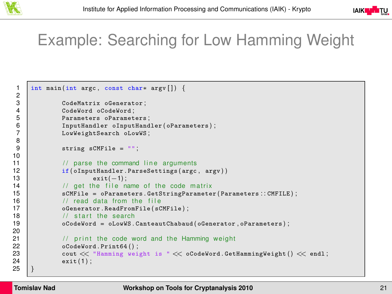



## Example: Searching for Low Hamming Weight

```
1 int main ( int argc , const char∗ argv [ ] ) {
 3 CodeMatrix oGenerator;<br>4 CodeWord oCodeWord:
 4 CodeWord oCodeWord;<br>5 Parameters oParamet
 5 Parameters oParameters;<br>6 1 InputHandler oInputHand
 6 InputHandler oInputHandler ( oParameters );<br>7 CowWeightSearch oLowWS;
                     LowWeightSearch oLowWS;
                     string sCMFile = "";
11 \vert // parse the command line arguments<br>12 if (o Input Handler Parse Settings (argo
12 if ( oInputHandler . ParseSettings (argc, argv) )<br>13 exit( -1)
\begin{array}{c|c}\n 13 & \text{exit}(-1); \\
 14 & \text{ }} \\
 \end{array}14 / get the file name of the code matrix<br>15 <br>sCMFile - oParameters GetStringParameters
15 SCMFile = oParameters . GetStringParameter (Parameters :: CMFILE);<br>16 / read data from the file
16 \frac{1}{2} // read data from the file<br>17 oGenerator ReadFromFile (sC
17 oGenerator . ReadFromFile (sCMFile);<br>18 \sqrt{6} start the search
18 \frac{1}{2} // start the search<br>19 \frac{1}{2} \frac{1}{2} \frac{1}{2} \frac{1}{2} \frac{1}{2} \frac{1}{2} \frac{1}{2} \frac{1}{2} \frac{1}{2} \frac{1}{2} \frac{1}{2} \frac{1}{2} \frac{1}{2} \frac{1}{2} \frac{1}{2} \frac{1}{2} \frac{1}{2} \frac{1}{2} \frac{119 oCodeWord = oLowWS . CanteautChabaud ( oGenerator , oParameters ) ;
21 // print the code word and the Hamming weight 22 oCodeWord. Print64();
22 oCodeWord . Print64();<br>23 cout << "Hamming wei
23 cout \ll "Hamming weight is " \ll oCodeWord.GetHammingWeight () \ll endl;<br>24 exit(1)
                     exit ( 1 );
```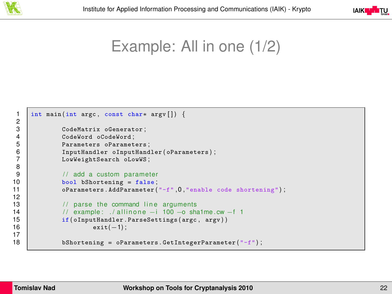



Example: All in one (1/2)

```
1 int main ( int argc , const char∗ argv [ ] ) {
 3 CodeMatrix oGenerator;<br>4 CodeWord oCodeWord:
 4 CodeWord oCodeWord;<br>5 Parameters oParamet
5 Parameters oParameters;<br>6 Parameters in Inputiliand<br>7 LowWeightSearch oLowWS:
                   InputHandler oInputHandler ( oParameters ) ;
                   LowWeightSearch oLowWS:
\begin{array}{c|c|c|c|c} 9 & // add a custom parameter \end{array}<br>10 bool bShortening - false:
10 bool bShortening = false;<br>11 bool parameters. AddParameter
                   0Parameters. AddParameter ("-f", 0, "enable code shortening");
13 \vert // parse the command line arguments<br>14 \vert // example: /allinone -i 100 -o sha
14 / example: ./allinone −i 100 −o sha1me.cw −f 1<br>15 if(oInputHandler.ParseSettings(argc.argv))
15 if ( oInput Handler . ParseSettings (argc, argv) )<br>16 exit( -1)
                               exit(-1):
                   bShortening = oParameters . GetIntegerParameter("f");
```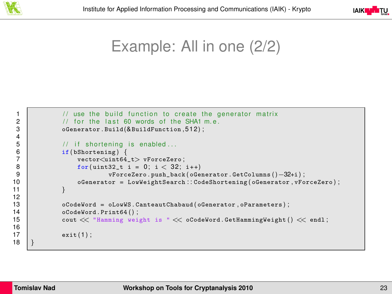



Example: All in one (2/2)

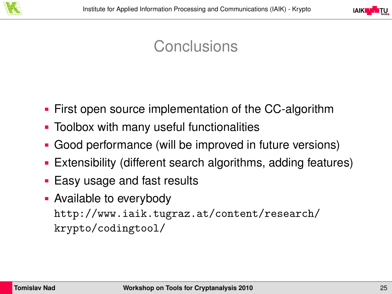

<span id="page-20-0"></span>

## Conclusions

- First open source implementation of the CC-algorithm
- Toolbox with many useful functionalities
- Good performance (will be improved in future versions)
- Extensibility (different search algorithms, adding features)
- **Easy usage and fast results**
- **Available to everybody** [http://www.iaik.tugraz.at/content/research/](http://www.iaik.tugraz.at/content/research/krypto/codingtool/) [krypto/codingtool/](http://www.iaik.tugraz.at/content/research/krypto/codingtool/)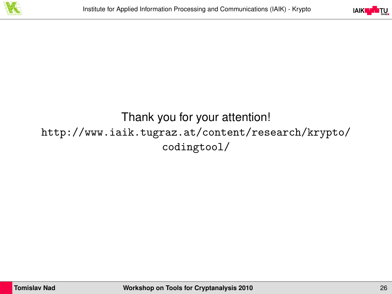



#### Thank you for your attention! [http://www.iaik.tugraz.at/content/research/krypto/](http://www.iaik.tugraz.at/content/research/krypto/codingtool/) [codingtool/](http://www.iaik.tugraz.at/content/research/krypto/codingtool/)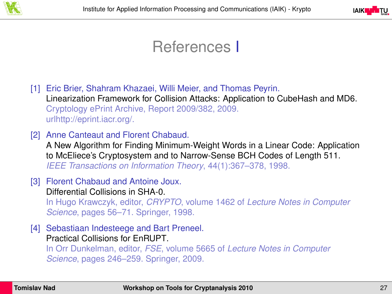



## References I

<span id="page-22-2"></span>[1] Eric Brier, Shahram Khazaei, Willi Meier, and Thomas Peyrin. Linearization Framework for Collision Attacks: Application to CubeHash and MD6. Cryptology ePrint Archive, Report 2009/382, 2009. urlhttp://eprint.iacr.org/.

<span id="page-22-3"></span>[2] Anne Canteaut and Florent Chabaud.

A New Algorithm for Finding Minimum-Weight Words in a Linear Code: Application to McEliece's Cryptosystem and to Narrow-Sense BCH Codes of Length 511. *IEEE Transactions on Information Theory*, 44(1):367–378, 1998.

- <span id="page-22-0"></span>[3] Florent Chabaud and Antoine Joux. Differential Collisions in SHA-0. In Hugo Krawczyk, editor, *CRYPTO*, volume 1462 of *Lecture Notes in Computer Science*, pages 56–71. Springer, 1998.
- <span id="page-22-1"></span>[4] Sebastiaan Indesteege and Bart Preneel. Practical Collisions for EnRUPT.

In Orr Dunkelman, editor, *FSE*, volume 5665 of *Lecture Notes in Computer Science*, pages 246–259. Springer, 2009.